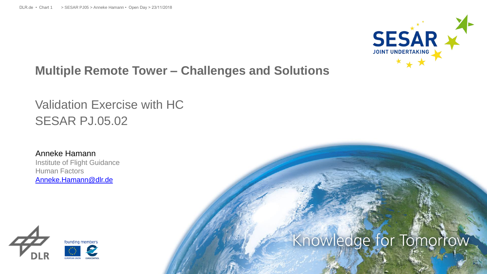

#### **Multiple Remote Tower – Challenges and Solutions**

## Validation Exercise with HC SESAR PJ.05.02

Anneke Hamann Institute of Flight Guidance Human Factors [Anneke.Hamann@dlr.de](mailto:Maria.Hagl@dlr.de)



## Knowledge for Tomorrow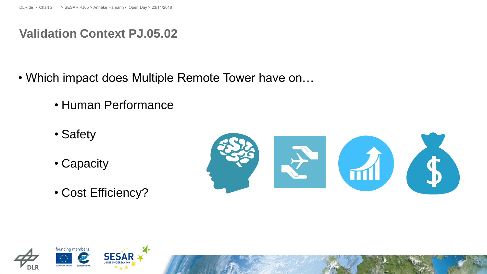#### **Validation Context PJ.05.02**

- Which impact does Multiple Remote Tower have on…
	- Human Performance
	- Safety
	- Capacity
	- Cost Efficiency?



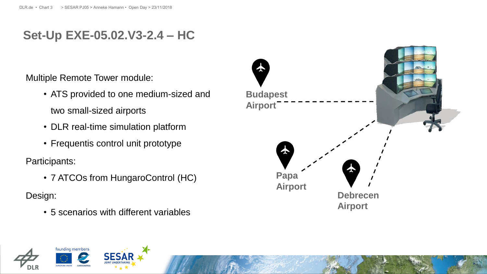#### **Set-Up EXE-05.02.V3-2.4 – HC**

Multiple Remote Tower module:

- ATS provided to one medium-sized and two small-sized airports
- DLR real-time simulation platform
- Frequentis control unit prototype

Participants:

• 7 ATCOs from HungaroControl (HC)

Design:

• 5 scenarios with different variables



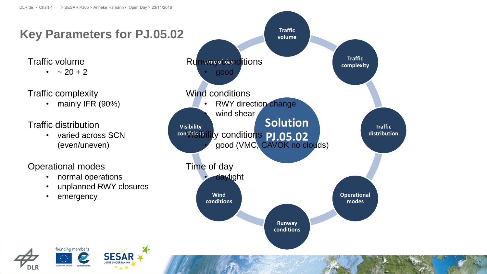## **Key Parameters for PJ.05.02**

•  $\sim 20 + 2$ 

Traffic complexity

• mainly IFR (90%)

Traffic distribution

• varied across SCN (even/uneven)

Operational modes

- normal operations
- unplanned RWY closures
- emergency





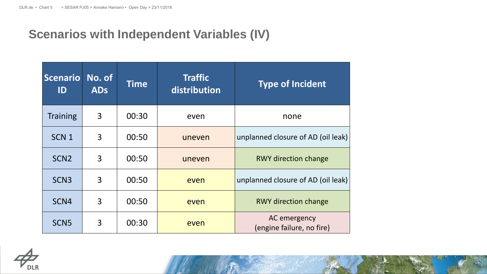## **Scenarios with Independent Variables (IV)**

| <b>Scenario</b><br>ID | No. of<br><b>ADs</b> | <b>Time</b> | <b>Traffic</b><br><b>Type of Incident</b><br>distribution |                                           |
|-----------------------|----------------------|-------------|-----------------------------------------------------------|-------------------------------------------|
| <b>Training</b>       | 3                    | 00:30       | even                                                      | none                                      |
| SCN <sub>1</sub>      | 3                    | 00:50       | uneven                                                    | unplanned closure of AD (oil leak)        |
| SCN <sub>2</sub>      | 3                    | 00:50       | uneven                                                    | <b>RWY direction change</b>               |
| SCN <sub>3</sub>      | 3                    | 00:50       | even                                                      | unplanned closure of AD (oil leak)        |
| SCN4                  | 3                    | 00:50       | even                                                      | <b>RWY direction change</b>               |
| SCN <sub>5</sub>      | 3                    | 00:30       | even                                                      | AC emergency<br>(engine failure, no fire) |

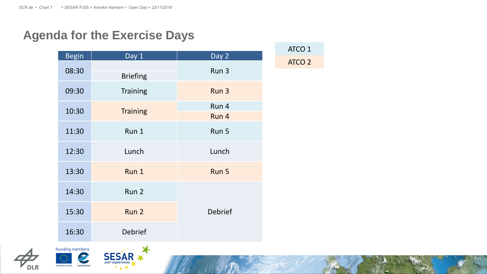## **Agenda for the Exercise Days**

| <b>Begin</b> | Day 1            | Day 2          |
|--------------|------------------|----------------|
| 08:30        | <b>Briefing</b>  | Run 3          |
| 09:30        | <b>Training</b>  | Run 3          |
|              |                  | Run 4          |
| 10:30        | <b>Training</b>  | Run 4          |
| 11:30        | Run 1            | Run 5          |
| 12:30        | Lunch            | Lunch          |
| 13:30        | Run 1            | Run 5          |
| 14:30        | Run <sub>2</sub> |                |
| 15:30        | Run <sub>2</sub> | <b>Debrief</b> |
| 16:30        | <b>Debrief</b>   |                |

ATCO 1 ATCO 2



EUROPEAN UNION

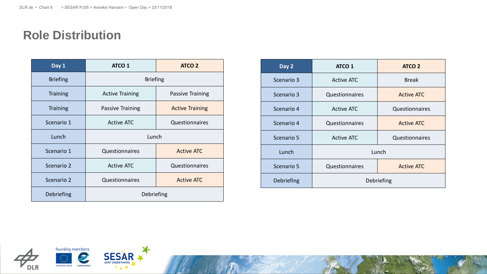#### **Role Distribution**

| Day 1<br><b>ATCO 1</b> |                                            | <b>ATCO 2</b>          |  |
|------------------------|--------------------------------------------|------------------------|--|
| <b>Briefing</b>        | <b>Briefing</b>                            |                        |  |
| <b>Training</b>        | <b>Active Training</b>                     | Passive Training       |  |
| <b>Training</b>        | Passive Training                           | <b>Active Training</b> |  |
| Scenario 1             | <b>Active ATC</b><br>Questionnaires        |                        |  |
| Lunch                  | Lunch                                      |                        |  |
| Scenario 1             | Questionnaires                             | <b>Active ATC</b>      |  |
| Scenario 2             | <b>Active ATC</b><br><b>Questionnaires</b> |                        |  |
| Scenario 2             | Questionnaires                             | <b>Active ATC</b>      |  |
| Debriefing             | Debriefing                                 |                        |  |

| Day 2      | <b>ATCO 1</b>                       | <b>ATCO 2</b>     |
|------------|-------------------------------------|-------------------|
| Scenario 3 | <b>Active ATC</b>                   | <b>Break</b>      |
| Scenario 3 | Questionnaires                      | <b>Active ATC</b> |
| Scenario 4 | <b>Active ATC</b>                   | Questionnaires    |
| Scenario 4 | Questionnaires                      | <b>Active ATC</b> |
| Scenario 5 | <b>Active ATC</b><br>Questionnaires |                   |
| Lunch      | Lunch                               |                   |
| Scenario 5 | Questionnaires<br><b>Active ATC</b> |                   |
| Debriefing | Debriefing                          |                   |



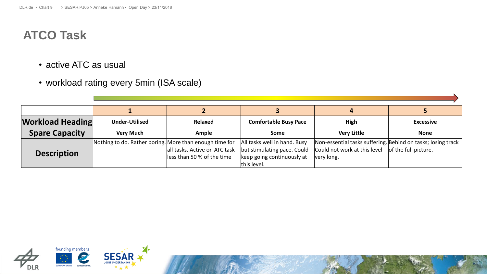## **ATCO Task**

- active ATC as usual
- workload rating every 5min (ISA scale)

| <b>Workload Heading</b> | <b>Under-Utilised</b>                                   | <b>Relaxed</b>                                               | <b>Comfortable Busy Pace</b>                                                                             | High                                                                                                       | <b>Excessive</b>     |
|-------------------------|---------------------------------------------------------|--------------------------------------------------------------|----------------------------------------------------------------------------------------------------------|------------------------------------------------------------------------------------------------------------|----------------------|
| <b>Spare Capacity</b>   | <b>Very Much</b>                                        | <b>Ample</b>                                                 | Some                                                                                                     | <b>Very Little</b>                                                                                         | <b>None</b>          |
| <b>Description</b>      | Nothing to do. Rather boring. More than enough time for | all tasks. Active on ATC task<br>lless than 50 % of the time | All tasks well in hand. Busy<br>but stimulating pace. Could<br>keep going continuously at<br>this level. | Non-essential tasks suffering. Behind on tasks; losing track<br>Could not work at this level<br>very long. | of the full picture. |

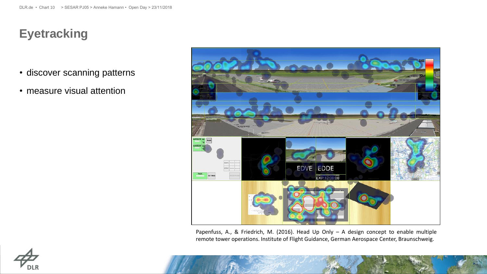## **Eyetracking**

- discover scanning patterns
- measure visual attention



Papenfuss, A., & Friedrich, M. (2016). Head Up Only – A design concept to enable multiple remote tower operations. Institute of Flight Guidance, German Aerospace Center, Braunschweig.

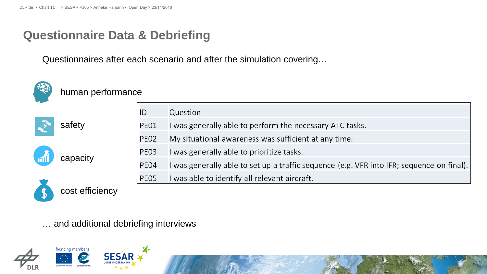#### **Questionnaire Data & Debriefing**

Questionnaires after each scenario and after the simulation covering…



#### human performance



|      | Question                                                                                  |
|------|-------------------------------------------------------------------------------------------|
| PEO1 | I was generally able to perform the necessary ATC tasks.                                  |
| PEO2 | My situational awareness was sufficient at any time.                                      |
| PE03 | I was generally able to prioritize tasks.                                                 |
| PE04 | I was generally able to set up a traffic sequence (e.g. VFR into IFR; sequence on final). |
| PE05 | I was able to identify all relevant aircraft.                                             |



cost efficiency

capacity

… and additional debriefing interviews

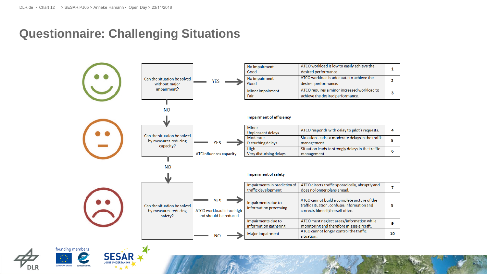#### **Questionnaire: Challenging Situations**





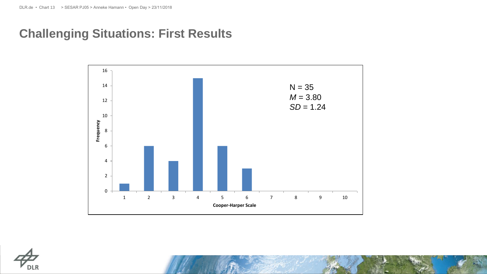#### **Challenging Situations: First Results**